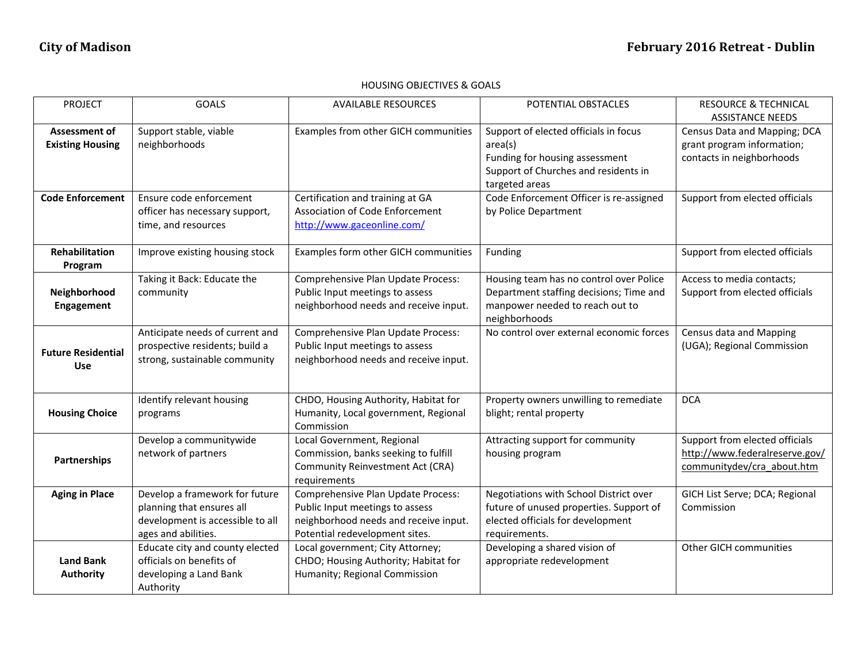## HOUSING OBJECTIVES & GOALS

| <b>PROJECT</b>            | <b>GOALS</b>                     | <b>AVAILABLE RESOURCES</b>             | POTENTIAL OBSTACLES                      | <b>RESOURCE &amp; TECHNICAL</b> |
|---------------------------|----------------------------------|----------------------------------------|------------------------------------------|---------------------------------|
|                           |                                  |                                        |                                          | <b>ASSISTANCE NEEDS</b>         |
| <b>Assessment of</b>      | Support stable, viable           | Examples from other GICH communities   | Support of elected officials in focus    | Census Data and Mapping; DCA    |
| <b>Existing Housing</b>   | neighborhoods                    |                                        | area(s)                                  | grant program information;      |
|                           |                                  |                                        | Funding for housing assessment           | contacts in neighborhoods       |
|                           |                                  |                                        |                                          |                                 |
|                           |                                  |                                        | Support of Churches and residents in     |                                 |
|                           |                                  |                                        | targeted areas                           |                                 |
| <b>Code Enforcement</b>   | Ensure code enforcement          | Certification and training at GA       | Code Enforcement Officer is re-assigned  | Support from elected officials  |
|                           | officer has necessary support,   | <b>Association of Code Enforcement</b> | by Police Department                     |                                 |
|                           | time, and resources              | http://www.gaceonline.com/             |                                          |                                 |
|                           |                                  |                                        |                                          |                                 |
| <b>Rehabilitation</b>     | Improve existing housing stock   | Examples form other GICH communities   | Funding                                  | Support from elected officials  |
| Program                   |                                  |                                        |                                          |                                 |
|                           | Taking it Back: Educate the      | Comprehensive Plan Update Process:     | Housing team has no control over Police  | Access to media contacts;       |
| Neighborhood              | community                        | Public Input meetings to assess        | Department staffing decisions; Time and  | Support from elected officials  |
|                           |                                  |                                        |                                          |                                 |
| Engagement                |                                  | neighborhood needs and receive input.  | manpower needed to reach out to          |                                 |
|                           |                                  |                                        | neighborhoods                            |                                 |
|                           | Anticipate needs of current and  | Comprehensive Plan Update Process:     | No control over external economic forces | Census data and Mapping         |
| <b>Future Residential</b> | prospective residents; build a   | Public Input meetings to assess        |                                          | (UGA); Regional Commission      |
|                           | strong, sustainable community    | neighborhood needs and receive input.  |                                          |                                 |
| <b>Use</b>                |                                  |                                        |                                          |                                 |
|                           |                                  |                                        |                                          |                                 |
|                           | Identify relevant housing        | CHDO, Housing Authority, Habitat for   | Property owners unwilling to remediate   | <b>DCA</b>                      |
| <b>Housing Choice</b>     | programs                         | Humanity, Local government, Regional   | blight; rental property                  |                                 |
|                           |                                  | Commission                             |                                          |                                 |
|                           | Develop a communitywide          | Local Government, Regional             | Attracting support for community         | Support from elected officials  |
|                           | network of partners              | Commission, banks seeking to fulfill   | housing program                          | http://www.federalreserve.gov/  |
| Partnerships              |                                  | Community Reinvestment Act (CRA)       |                                          | communitydev/cra about.htm      |
|                           |                                  |                                        |                                          |                                 |
|                           |                                  | requirements                           |                                          |                                 |
| <b>Aging in Place</b>     | Develop a framework for future   | Comprehensive Plan Update Process:     | Negotiations with School District over   | GICH List Serve; DCA; Regional  |
|                           | planning that ensures all        | Public Input meetings to assess        | future of unused properties. Support of  | Commission                      |
|                           | development is accessible to all | neighborhood needs and receive input.  | elected officials for development        |                                 |
|                           | ages and abilities.              | Potential redevelopment sites.         | requirements.                            |                                 |
|                           | Educate city and county elected  | Local government; City Attorney;       | Developing a shared vision of            | Other GICH communities          |
| <b>Land Bank</b>          | officials on benefits of         | CHDO; Housing Authority; Habitat for   | appropriate redevelopment                |                                 |
| Authority                 | developing a Land Bank           | Humanity; Regional Commission          |                                          |                                 |
|                           | Authority                        |                                        |                                          |                                 |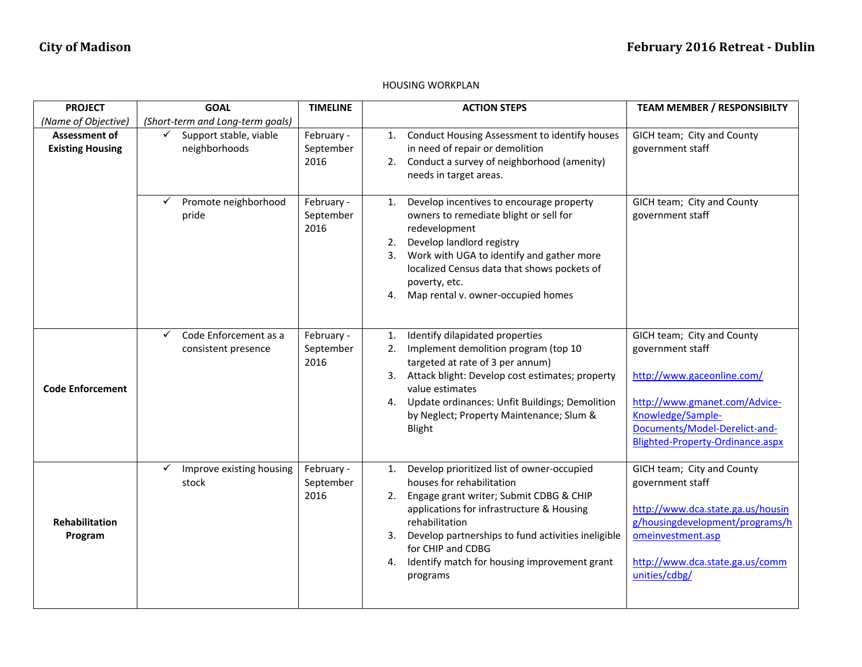## HOUSING WORKPLAN

| <b>PROJECT</b>                                  | <b>GOAL</b>                                       | <b>TIMELINE</b>                 | <b>ACTION STEPS</b>                                                                                                                                                                                                                                                                                                                     | <b>TEAM MEMBER / RESPONSIBILTY</b>                                                                                                                                                                      |
|-------------------------------------------------|---------------------------------------------------|---------------------------------|-----------------------------------------------------------------------------------------------------------------------------------------------------------------------------------------------------------------------------------------------------------------------------------------------------------------------------------------|---------------------------------------------------------------------------------------------------------------------------------------------------------------------------------------------------------|
| (Name of Objective)                             | (Short-term and Long-term goals)                  |                                 |                                                                                                                                                                                                                                                                                                                                         |                                                                                                                                                                                                         |
| <b>Assessment of</b><br><b>Existing Housing</b> | Support stable, viable<br>✓<br>neighborhoods      | February -<br>September<br>2016 | Conduct Housing Assessment to identify houses<br>1.<br>in need of repair or demolition<br>2. Conduct a survey of neighborhood (amenity)<br>needs in target areas.                                                                                                                                                                       | GICH team; City and County<br>government staff                                                                                                                                                          |
|                                                 | Promote neighborhood<br>✓<br>pride                | February -<br>September<br>2016 | Develop incentives to encourage property<br>1.<br>owners to remediate blight or sell for<br>redevelopment<br>Develop landlord registry<br>2.<br>Work with UGA to identify and gather more<br>3.<br>localized Census data that shows pockets of<br>poverty, etc.<br>Map rental v. owner-occupied homes<br>4.                             | GICH team; City and County<br>government staff                                                                                                                                                          |
| <b>Code Enforcement</b>                         | Code Enforcement as a<br>✓<br>consistent presence | February -<br>September<br>2016 | Identify dilapidated properties<br>1.<br>Implement demolition program (top 10<br>2.<br>targeted at rate of 3 per annum)<br>3. Attack blight: Develop cost estimates; property<br>value estimates<br>Update ordinances: Unfit Buildings; Demolition<br>4.<br>by Neglect; Property Maintenance; Slum &<br>Blight                          | GICH team; City and County<br>government staff<br>http://www.gaceonline.com/<br>http://www.gmanet.com/Advice-<br>Knowledge/Sample-<br>Documents/Model-Derelict-and-<br>Blighted-Property-Ordinance.aspx |
| Rehabilitation<br>Program                       | $\checkmark$<br>Improve existing housing<br>stock | February -<br>September<br>2016 | Develop prioritized list of owner-occupied<br>1.<br>houses for rehabilitation<br>2. Engage grant writer; Submit CDBG & CHIP<br>applications for infrastructure & Housing<br>rehabilitation<br>Develop partnerships to fund activities ineligible<br>for CHIP and CDBG<br>Identify match for housing improvement grant<br>4.<br>programs | GICH team; City and County<br>government staff<br>http://www.dca.state.ga.us/housin<br>g/housingdevelopment/programs/h<br>omeinvestment.asp<br>http://www.dca.state.ga.us/comm<br>unities/cdbg/         |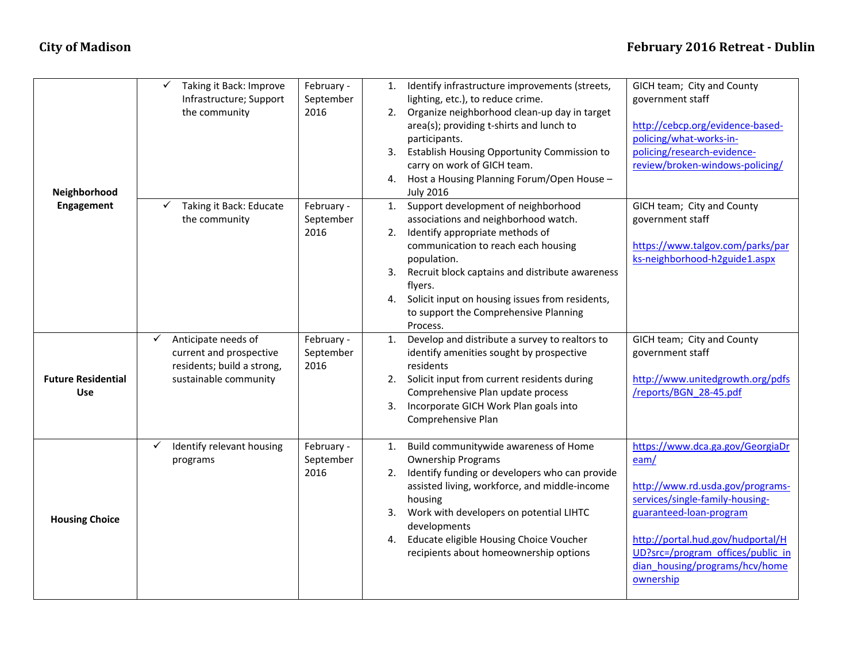## **City** of Madison **February** 2016 Retreat - Dublin

|                           | ✓<br>Taking it Back: Improve | February - | 1. | Identify infrastructure improvements (streets,  | GICH team; City and County        |
|---------------------------|------------------------------|------------|----|-------------------------------------------------|-----------------------------------|
|                           | Infrastructure; Support      | September  |    | lighting, etc.), to reduce crime.               | government staff                  |
|                           | the community                | 2016       | 2. | Organize neighborhood clean-up day in target    |                                   |
|                           |                              |            |    | area(s); providing t-shirts and lunch to        | http://cebcp.org/evidence-based-  |
|                           |                              |            |    | participants.                                   | policing/what-works-in-           |
|                           |                              |            | 3. | Establish Housing Opportunity Commission to     | policing/research-evidence-       |
|                           |                              |            |    | carry on work of GICH team.                     | review/broken-windows-policing/   |
|                           |                              |            | 4. | Host a Housing Planning Forum/Open House -      |                                   |
| Neighborhood              |                              |            |    | <b>July 2016</b>                                |                                   |
| <b>Engagement</b>         | Taking it Back: Educate      | February - | 1. | Support development of neighborhood             | GICH team; City and County        |
|                           | the community                | September  |    | associations and neighborhood watch.            | government staff                  |
|                           |                              | 2016       | 2. | Identify appropriate methods of                 |                                   |
|                           |                              |            |    | communication to reach each housing             | https://www.talgov.com/parks/par  |
|                           |                              |            |    | population.                                     | ks-neighborhood-h2guide1.aspx     |
|                           |                              |            | 3. | Recruit block captains and distribute awareness |                                   |
|                           |                              |            |    | flyers.                                         |                                   |
|                           |                              |            | 4. | Solicit input on housing issues from residents, |                                   |
|                           |                              |            |    | to support the Comprehensive Planning           |                                   |
|                           |                              |            |    | Process.                                        |                                   |
|                           | ✓<br>Anticipate needs of     | February - | 1. | Develop and distribute a survey to realtors to  | GICH team; City and County        |
|                           | current and prospective      | September  |    | identify amenities sought by prospective        | government staff                  |
|                           | residents; build a strong,   | 2016       |    | residents                                       |                                   |
| <b>Future Residential</b> | sustainable community        |            | 2. | Solicit input from current residents during     | http://www.unitedgrowth.org/pdfs  |
| Use                       |                              |            |    | Comprehensive Plan update process               | /reports/BGN 28-45.pdf            |
|                           |                              |            | 3. | Incorporate GICH Work Plan goals into           |                                   |
|                           |                              |            |    | Comprehensive Plan                              |                                   |
|                           | Identify relevant housing    | February - | 1. | Build communitywide awareness of Home           | https://www.dca.ga.gov/GeorgiaDr  |
|                           | programs                     | September  |    | <b>Ownership Programs</b>                       | eam/                              |
|                           |                              | 2016       | 2. | Identify funding or developers who can provide  |                                   |
|                           |                              |            |    | assisted living, workforce, and middle-income   | http://www.rd.usda.gov/programs-  |
| <b>Housing Choice</b>     |                              |            |    | housing                                         | services/single-family-housing-   |
|                           |                              |            | 3. | Work with developers on potential LIHTC         | guaranteed-loan-program           |
|                           |                              |            |    | developments                                    |                                   |
|                           |                              |            | 4. | Educate eligible Housing Choice Voucher         | http://portal.hud.gov/hudportal/H |
|                           |                              |            |    | recipients about homeownership options          | UD?src=/program offices/public in |
|                           |                              |            |    |                                                 | dian housing/programs/hcv/home    |
|                           |                              |            |    |                                                 | ownership                         |
|                           |                              |            |    |                                                 |                                   |